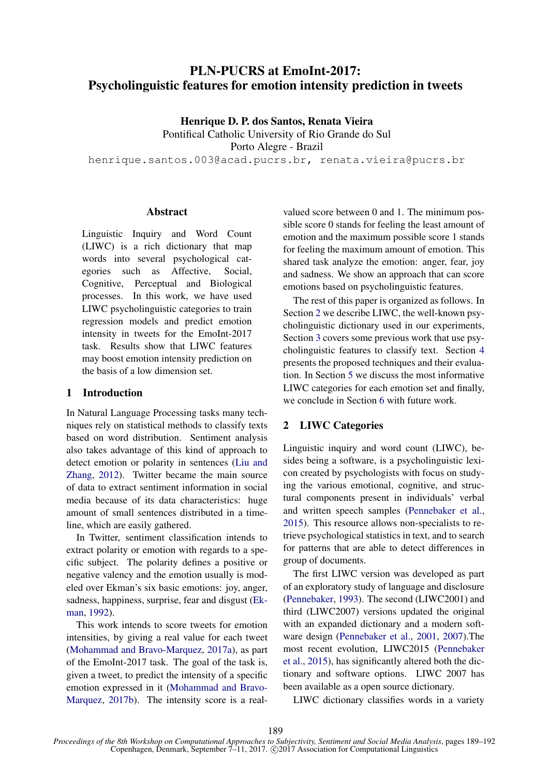# PLN-PUCRS at EmoInt-2017: Psycholinguistic features for emotion intensity prediction in tweets

Henrique D. P. dos Santos, Renata Vieira Pontifical Catholic University of Rio Grande do Sul

Porto Alegre - Brazil

henrique.santos.003@acad.pucrs.br, renata.vieira@pucrs.br

#### Abstract

Linguistic Inquiry and Word Count (LIWC) is a rich dictionary that map words into several psychological categories such as Affective, Social, Cognitive, Perceptual and Biological processes. In this work, we have used LIWC psycholinguistic categories to train regression models and predict emotion intensity in tweets for the EmoInt-2017 task. Results show that LIWC features may boost emotion intensity prediction on the basis of a low dimension set.

## 1 Introduction

In Natural Language Processing tasks many techniques rely on statistical methods to classify texts based on word distribution. Sentiment analysis also takes advantage of this kind of approach to detect emotion or polarity in sentences (Liu and Zhang, 2012). Twitter became the main source of data to extract sentiment information in social media because of its data characteristics: huge amount of small sentences distributed in a timeline, which are easily gathered.

In Twitter, sentiment classification intends to extract polarity or emotion with regards to a specific subject. The polarity defines a positive or negative valency and the emotion usually is modeled over Ekman's six basic emotions: joy, anger, sadness, happiness, surprise, fear and disgust (Ekman, 1992).

This work intends to score tweets for emotion intensities, by giving a real value for each tweet (Mohammad and Bravo-Marquez, 2017a), as part of the EmoInt-2017 task. The goal of the task is, given a tweet, to predict the intensity of a specific emotion expressed in it (Mohammad and Bravo-Marquez, 2017b). The intensity score is a real-

valued score between 0 and 1. The minimum possible score 0 stands for feeling the least amount of emotion and the maximum possible score 1 stands for feeling the maximum amount of emotion. This shared task analyze the emotion: anger, fear, joy and sadness. We show an approach that can score emotions based on psycholinguistic features.

The rest of this paper is organized as follows. In Section 2 we describe LIWC, the well-known psycholinguistic dictionary used in our experiments, Section 3 covers some previous work that use psycholinguistic features to classify text. Section 4 presents the proposed techniques and their evaluation. In Section 5 we discuss the most informative LIWC categories for each emotion set and finally, we conclude in Section 6 with future work.

## 2 LIWC Categories

Linguistic inquiry and word count (LIWC), besides being a software, is a psycholinguistic lexicon created by psychologists with focus on studying the various emotional, cognitive, and structural components present in individuals' verbal and written speech samples (Pennebaker et al., 2015). This resource allows non-specialists to retrieve psychological statistics in text, and to search for patterns that are able to detect differences in group of documents.

The first LIWC version was developed as part of an exploratory study of language and disclosure (Pennebaker, 1993). The second (LIWC2001) and third (LIWC2007) versions updated the original with an expanded dictionary and a modern software design (Pennebaker et al., 2001, 2007).The most recent evolution, LIWC2015 (Pennebaker et al., 2015), has significantly altered both the dictionary and software options. LIWC 2007 has been available as a open source dictionary.

LIWC dictionary classifies words in a variety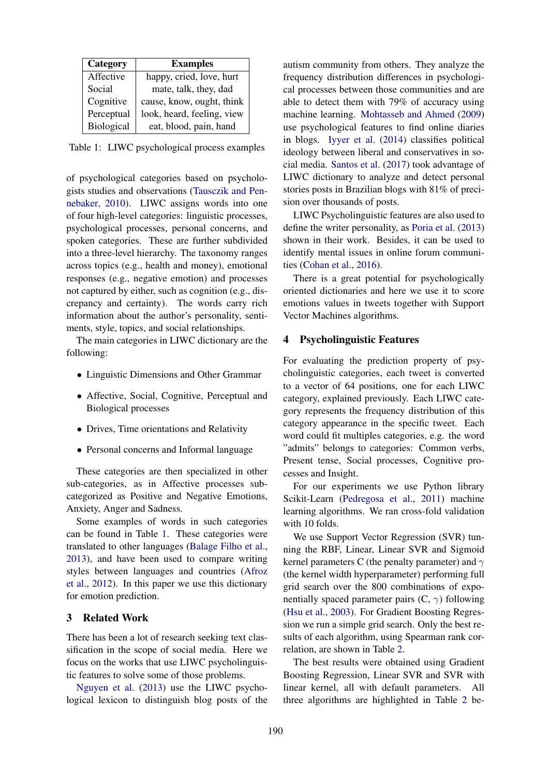| Category   | <b>Examples</b>            |  |  |
|------------|----------------------------|--|--|
| Affective  | happy, cried, love, hurt   |  |  |
| Social     | mate, talk, they, dad      |  |  |
| Cognitive  | cause, know, ought, think  |  |  |
| Perceptual | look, heard, feeling, view |  |  |
| Biological | eat, blood, pain, hand     |  |  |

Table 1: LIWC psychological process examples

of psychological categories based on psychologists studies and observations (Tausczik and Pennebaker, 2010). LIWC assigns words into one of four high-level categories: linguistic processes, psychological processes, personal concerns, and spoken categories. These are further subdivided into a three-level hierarchy. The taxonomy ranges across topics (e.g., health and money), emotional responses (e.g., negative emotion) and processes not captured by either, such as cognition (e.g., discrepancy and certainty). The words carry rich information about the author's personality, sentiments, style, topics, and social relationships.

The main categories in LIWC dictionary are the following:

- Linguistic Dimensions and Other Grammar
- Affective, Social, Cognitive, Perceptual and Biological processes
- Drives, Time orientations and Relativity
- Personal concerns and Informal language

These categories are then specialized in other sub-categories, as in Affective processes subcategorized as Positive and Negative Emotions, Anxiety, Anger and Sadness.

Some examples of words in such categories can be found in Table 1. These categories were translated to other languages (Balage Filho et al., 2013), and have been used to compare writing styles between languages and countries (Afroz et al., 2012). In this paper we use this dictionary for emotion prediction.

#### 3 Related Work

There has been a lot of research seeking text classification in the scope of social media. Here we focus on the works that use LIWC psycholinguistic features to solve some of those problems.

Nguyen et al. (2013) use the LIWC psychological lexicon to distinguish blog posts of the autism community from others. They analyze the frequency distribution differences in psychological processes between those communities and are able to detect them with 79% of accuracy using machine learning. Mohtasseb and Ahmed (2009) use psychological features to find online diaries in blogs. Iyyer et al. (2014) classifies political ideology between liberal and conservatives in social media. Santos et al. (2017) took advantage of LIWC dictionary to analyze and detect personal stories posts in Brazilian blogs with 81% of precision over thousands of posts.

LIWC Psycholinguistic features are also used to define the writer personality, as Poria et al. (2013) shown in their work. Besides, it can be used to identify mental issues in online forum communities (Cohan et al., 2016).

There is a great potential for psychologically oriented dictionaries and here we use it to score emotions values in tweets together with Support Vector Machines algorithms.

## 4 Psycholinguistic Features

For evaluating the prediction property of psycholinguistic categories, each tweet is converted to a vector of 64 positions, one for each LIWC category, explained previously. Each LIWC category represents the frequency distribution of this category appearance in the specific tweet. Each word could fit multiples categories, e.g. the word "admits" belongs to categories: Common verbs, Present tense, Social processes, Cognitive processes and Insight.

For our experiments we use Python library Scikit-Learn (Pedregosa et al., 2011) machine learning algorithms. We ran cross-fold validation with 10 folds.

We use Support Vector Regression (SVR) tunning the RBF, Linear, Linear SVR and Sigmoid kernel parameters C (the penalty parameter) and  $\gamma$ (the kernel width hyperparameter) performing full grid search over the 800 combinations of exponentially spaced parameter pairs  $(C, \gamma)$  following (Hsu et al., 2003). For Gradient Boosting Regression we run a simple grid search. Only the best results of each algorithm, using Spearman rank correlation, are shown in Table 2.

The best results were obtained using Gradient Boosting Regression, Linear SVR and SVR with linear kernel, all with default parameters. All three algorithms are highlighted in Table 2 be-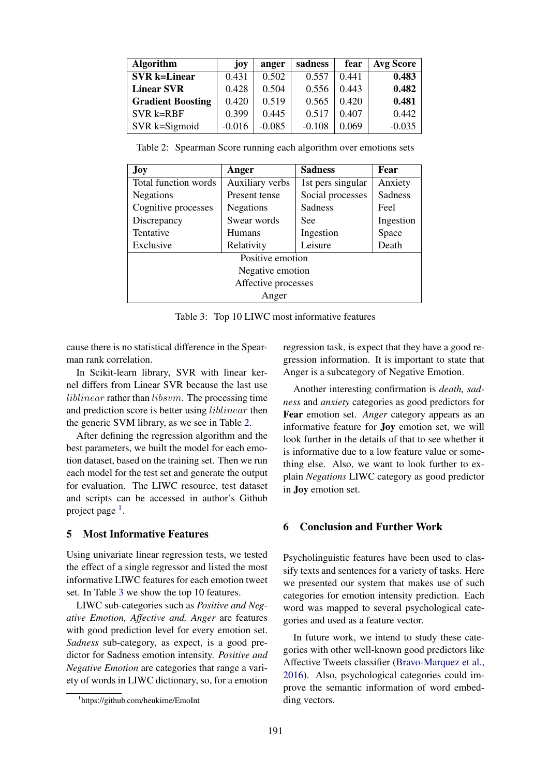| <b>Algorithm</b>         | joy      | anger    | sadness  | fear  | <b>Avg Score</b> |
|--------------------------|----------|----------|----------|-------|------------------|
| <b>SVR</b> k=Linear      | 0.431    | 0.502    | 0.557    | 0.441 | 0.483            |
| <b>Linear SVR</b>        | 0.428    | 0.504    | 0.556    | 0.443 | 0.482            |
| <b>Gradient Boosting</b> | 0.420    | 0.519    | 0.565    | 0.420 | 0.481            |
| SVR k=RBF                | 0.399    | 0.445    | 0.517    | 0.407 | 0.442            |
| SVR k=Sigmoid            | $-0.016$ | $-0.085$ | $-0.108$ | 0.069 | $-0.035$         |

Table 2: Spearman Score running each algorithm over emotions sets

| Joy                  | Anger                              | <b>Sadness</b>    | Fear      |  |  |  |  |
|----------------------|------------------------------------|-------------------|-----------|--|--|--|--|
| Total function words | Auxiliary verbs                    | 1st pers singular | Anxiety   |  |  |  |  |
| Negations            | Social processes<br>Present tense  |                   | Sadness   |  |  |  |  |
| Cognitive processes  | <b>Sadness</b><br><b>Negations</b> |                   | Feel      |  |  |  |  |
| Discrepancy          | Swear words<br>See                 |                   | Ingestion |  |  |  |  |
| Tentative            | <b>Humans</b>                      | Ingestion         | Space     |  |  |  |  |
| Exclusive            | Relativity                         | Leisure           | Death     |  |  |  |  |
| Positive emotion     |                                    |                   |           |  |  |  |  |
| Negative emotion     |                                    |                   |           |  |  |  |  |
| Affective processes  |                                    |                   |           |  |  |  |  |
| Anger                |                                    |                   |           |  |  |  |  |

Table 3: Top 10 LIWC most informative features

cause there is no statistical difference in the Spearman rank correlation.

In Scikit-learn library, SVR with linear kernel differs from Linear SVR because the last use liblinear rather than libsvm. The processing time and prediction score is better using liblinear then the generic SVM library, as we see in Table 2.

After defining the regression algorithm and the best parameters, we built the model for each emotion dataset, based on the training set. Then we run each model for the test set and generate the output for evaluation. The LIWC resource, test dataset and scripts can be accessed in author's Github project page<sup>1</sup>.

## 5 Most Informative Features

Using univariate linear regression tests, we tested the effect of a single regressor and listed the most informative LIWC features for each emotion tweet set. In Table 3 we show the top 10 features.

LIWC sub-categories such as *Positive and Negative Emotion, Affective and, Anger* are features with good prediction level for every emotion set. *Sadness* sub-category, as expect, is a good predictor for Sadness emotion intensity. *Positive and Negative Emotion* are categories that range a variety of words in LIWC dictionary, so, for a emotion regression task, is expect that they have a good regression information. It is important to state that Anger is a subcategory of Negative Emotion.

Another interesting confirmation is *death, sadness* and *anxiety* categories as good predictors for Fear emotion set. *Anger* category appears as an informative feature for Joy emotion set, we will look further in the details of that to see whether it is informative due to a low feature value or something else. Also, we want to look further to explain *Negations* LIWC category as good predictor in Joy emotion set.

### 6 Conclusion and Further Work

Psycholinguistic features have been used to classify texts and sentences for a variety of tasks. Here we presented our system that makes use of such categories for emotion intensity prediction. Each word was mapped to several psychological categories and used as a feature vector.

In future work, we intend to study these categories with other well-known good predictors like Affective Tweets classifier (Bravo-Marquez et al., 2016). Also, psychological categories could improve the semantic information of word embedding vectors.

<sup>1</sup> https://github.com/heukirne/EmoInt